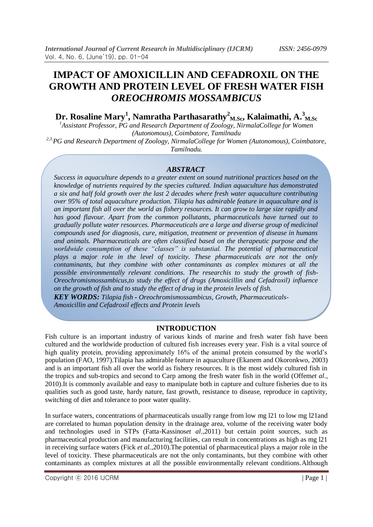# **IMPACT OF AMOXICILLIN AND CEFADROXIL ON THE GROWTH AND PROTEIN LEVEL OF FRESH WATER FISH**  *OREOCHROMIS MOSSAMBICUS*

**Dr. Rosaline Mary<sup>1</sup> , Namratha Parthasarathy<sup>2</sup> M.Sc, Kalaimathi, A. 3 M.Sc**

*<sup>1</sup>Assistant Professor, PG and Research Department of Zoology, NirmalaCollege for Women (Autonomous), Coimbatore, Tamilnadu*

*2,3,PG and Research Department of Zoology, NirmalaCollege for Women (Autonomous), Coimbatore, Tamilnadu.*

#### *ABSTRACT*

*Success in aquaculture depends to a greater extent on sound nutritional practices based on the knowledge of nutrients required by the species cultured. Indian aquaculture has demonstrated a six and half fold growth over the last 2 decades where fresh water aquaculture contributing over 95% of total aquaculture production. Tilapia has admirable feature in aquaculture and is an important fish all over the world as fishery resources. It can grow to large size rapidly and has good flavour. Apart from the common pollutants, pharmaceuticals have turned out to gradually pollute water resources. Pharmaceuticals are a large and diverse group of medicinal compounds used for diagnosis, cure, mitigation, treatment or prevention of disease in humans and animals. Pharmaceuticals are often classified based on the therapeutic purpose and the worldwide consumption of these "classes" is substantial. The potential of pharmaceutical plays a major role in the level of toxicity. These pharmaceuticals are not the only contaminants, but they combine with other contaminants as complex mixtures at all the possible environmentally relevant conditions. The researchis to study the growth of fish-Oreochromismossambicus,to study the effect of drugs (Amoxicillin and Cefadroxil) influence on the growth of fish and to study the effect of drug in the protein levels of fish.*

*KEY WORDS: Tilapia fish - Oreochromismossambicus, Growth, Pharmaceuticals-Amoxicillin and Cefadroxil effects and Protein levels*

#### **INTRODUCTION**

Fish culture is an important industry of various kinds of marine and fresh water fish have been cultured and the worldwide production of cultured fish increases every year. Fish is a vital source of high quality protein, providing approximately 16% of the animal protein consumed by the world's population (FAO, 1997).Tilapia has admirable feature in aquaculture (Ekanem and Okoronkwo, 2003) and is an important fish all over the world as fishery resources. It is the most widely cultured fish in the tropics and sub-tropics and second to Carp among the fresh water fish in the world (Offem*et al*., 2010).It is commonly available and easy to manipulate both in capture and culture fisheries due to its qualities such as good taste, hardy nature, fast growth, resistance to disease, reproduce in captivity, switching of diet and tolerance to poor water quality.

In surface waters, concentrations of pharmaceuticals usually range from low mg l21 to low mg l21and are correlated to human population density in the drainage area, volume of the receiving water body and technologies used in STPs (Fatta-Kassinos*et al*.,2011) but certain point sources, such as pharmaceutical production and manufacturing facilities, can result in concentrations as high as mg l21 in receiving surface waters (Fick *et al.,*2010).The potential of pharmaceutical plays a major role in the level of toxicity. These pharmaceuticals are not the only contaminants, but they combine with other contaminants as complex mixtures at all the possible environmentally relevant conditions.Although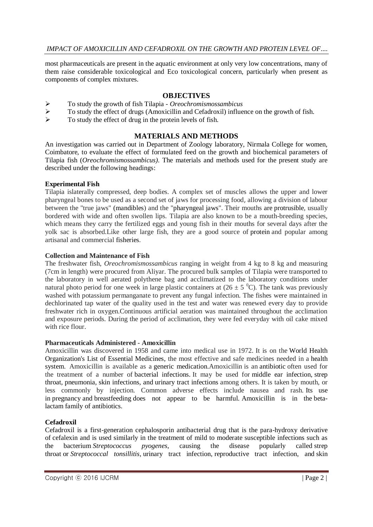most pharmaceuticals are present in the aquatic environment at only very low concentrations, many of them raise considerable toxicological and Eco toxicological concern, particularly when present as components of complex mixtures.

## **OBJECTIVES**

- To study the growth of fish Tilapia *Oreochromismossambicus*
- To study the effect of drugs (Amoxicillin and Cefadroxil) influence on the growth of fish.
- $\triangleright$  To study the effect of drug in the protein levels of fish.

## **MATERIALS AND METHODS**

An investigation was carried out in Department of Zoology laboratory, Nirmala College for women, Coimbatore, to evaluate the effect of formulated feed on the growth and biochemical parameters of Tilapia fish (*Oreochromismossambicus)*. The materials and methods used for the present study are described under the following headings:

## **Experimental Fish**

Tilapia islaterally compressed, deep bodies. A complex set of muscles allows the upper and lower pharyngeal bones to be used as a second set of jaws for processing food, allowing a division of labour between the "true jaws" [\(mandibles\)](https://en.wikipedia.org/wiki/Mandibles) and the ["pharyngeal jaws"](https://en.wikipedia.org/wiki/Pharyngeal_jaws). Their mouths are [protrusible,](https://en.wikipedia.org/wiki/Fish_jaw) usually bordered with wide and often swollen lips. Tilapia are also known to be a mouth-breeding species, which means they carry the fertilized eggs and young fish in their mouths for several days after the yolk sac is absorbed.Like other large fish, they are a good source of [protein](https://en.wikipedia.org/wiki/Protein) and popular among artisanal and commercial [fisheries.](https://en.wikipedia.org/wiki/Fishery)

## **Collection and Maintenance of Fish**

The freshwater fish, *Oreochromismossambicus* ranging in weight from 4 kg to 8 kg and measuring (7cm in length) were procured from Aliyar. The procured bulk samples of Tilapia were transported to the laboratory in well aerated polythene bag and acclimatized to the laboratory conditions under natural photo period for one week in large plastic containers at  $(26 \pm 5 \degree C)$ . The tank was previously washed with potassium permanganate to prevent any fungal infection. The fishes were maintained in dechlorinated tap water of the quality used in the test and water was renewed every day to provide freshwater rich in oxygen.Continuous artificial aeration was maintained throughout the acclimation and exposure periods. During the period of acclimation, they were fed everyday with oil cake mixed with rice flour.

## **Pharmaceuticals Administered - Amoxicillin**

Amoxicillin was discovered in 1958 and came into medical use in 1972. It is on the [World Health](https://en.wikipedia.org/wiki/World_Health_Organization%27s_List_of_Essential_Medicines)  [Organization's List of Essential Medicines,](https://en.wikipedia.org/wiki/World_Health_Organization%27s_List_of_Essential_Medicines) the most effective and safe medicines needed in a [health](https://en.wikipedia.org/wiki/Health_system)  [system.](https://en.wikipedia.org/wiki/Health_system) Amoxicillin is available as a [generic medication.](https://en.wikipedia.org/wiki/Generic_medication)Amoxicillin is an [antibiotic](https://en.wikipedia.org/wiki/Antibiotic) often used for the treatment of a number of [bacterial infections.](https://en.wikipedia.org/wiki/Bacterial_infection) It may be used for [middle ear infection,](https://en.wikipedia.org/wiki/Acute_otitis_media) [strep](https://en.wikipedia.org/wiki/Strep_throat)  [throat,](https://en.wikipedia.org/wiki/Strep_throat) [pneumonia,](https://en.wikipedia.org/wiki/Pneumonia) [skin infections,](https://en.wikipedia.org/wiki/Cellulitis) and [urinary tract infections](https://en.wikipedia.org/wiki/Urinary_tract_infection) among others. It is taken by mouth, or less commonly by injection. Common adverse effects include nausea and rash. Its use in [pregnancy](https://en.wikipedia.org/wiki/Pregnancy) and [breastfeeding](https://en.wikipedia.org/wiki/Breastfeeding) does not appear to be harmful. Amoxicillin is in the [beta](https://en.wikipedia.org/wiki/Beta-lactam)[lactam](https://en.wikipedia.org/wiki/Beta-lactam) family of antibiotics.

## **Cefadroxil**

Cefadroxil is a first-generation cephalosporin antibacterial drug that is the para-hydroxy derivative of [cefalexin](https://en.wikipedia.org/wiki/Cefalexin) and is used similarly in the treatment of mild to moderate susceptible infections such as the bacterium *[Streptococcus pyogenes](https://en.wikipedia.org/wiki/Streptococcus_pyogenes)*, causing the disease popularly called [strep](https://en.wikipedia.org/wiki/Strep_throat)  [throat](https://en.wikipedia.org/wiki/Strep_throat) or *[Streptococcal tonsillitis](https://en.wikipedia.org/wiki/Streptococcal_tonsillitis)*, [urinary tract infection,](https://en.wikipedia.org/wiki/Urinary_tract_infection) [reproductive tract infection,](https://en.wikipedia.org/wiki/Reproductive_tract_infection) and [skin](https://en.wikipedia.org/wiki/Skin_infections)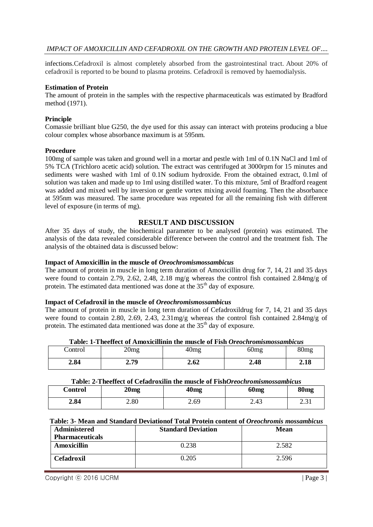## *IMPACT OF AMOXICILLIN AND CEFADROXIL ON THE GROWTH AND PROTEIN LEVEL OF....*

infections.Cefadroxil is almost completely absorbed from the gastrointestinal tract. About 20% of cefadroxil is reported to be bound to plasma proteins. Cefadroxil is removed by haemodialysis.

#### **Estimation of Protein**

The amount of protein in the samples with the respective pharmaceuticals was estimated by Bradford method (1971).

#### **Principle**

Comassie brilliant blue G250, the dye used for this assay can interact with proteins producing a blue colour complex whose absorbance maximum is at 595nm.

#### **Procedure**

100mg of sample was taken and ground well in a mortar and pestle with 1ml of 0.1N NaCl and 1ml of 5% TCA (Trichloro acetic acid) solution. The extract was centrifuged at 3000rpm for 15 minutes and sediments were washed with 1ml of 0.1N sodium hydroxide. From the obtained extract, 0.1ml of solution was taken and made up to 1ml using distilled water. To this mixture, 5ml of Bradford reagent was added and mixed well by inversion or gentle vortex mixing avoid foaming. Then the absorbance at 595nm was measured. The same procedure was repeated for all the remaining fish with different level of exposure (in terms of mg).

## **RESULT AND DISCUSSION**

After 35 days of study, the biochemical parameter to be analysed (protein) was estimated. The analysis of the data revealed considerable difference between the control and the treatment fish. The analysis of the obtained data is discussed below:

#### **Impact of Amoxicillin in the muscle of** *Oreochromismossambicus*

The amount of protein in muscle in long term duration of Amoxicillin drug for 7, 14, 21 and 35 days were found to contain 2.79, 2.62, 2.48, 2.18 mg/g whereas the control fish contained 2.84mg/g of protein. The estimated data mentioned was done at the 35<sup>th</sup> day of exposure.

#### **Impact of Cefadroxil in the muscle of** *Oreochromismossambicus*

The amount of protein in muscle in long term duration of Cefadroxildrug for 7, 14, 21 and 35 days were found to contain 2.80, 2.69, 2.43, 2.31mg/g whereas the control fish contained 2.84mg/g of protein. The estimated data mentioned was done at the 35<sup>th</sup> day of exposure.

| Table. T-Theenett of Allioxichining the muscle of Fish Oreothi omismossumotus |      |      |                  |              |  |  |
|-------------------------------------------------------------------------------|------|------|------------------|--------------|--|--|
| ontrol'                                                                       | 20mg | Umo  | 60 <sub>mg</sub> | 30m <u>s</u> |  |  |
| 2.84                                                                          | 2.79 | 2.62 | 2.48             | 2.18         |  |  |

## **Table: 1-Theeffect of Amoxicillinin the muscle of Fish** *Oreochromismossambicus*

#### **Table: 2-Theeffect of Cefadroxilin the muscle of Fish***Oreochromismossambicus*

| Control | 20 <sub>mg</sub> | 40 <sub>mg</sub> | 60 <sub>mg</sub> | 80 <sub>mg</sub>         |
|---------|------------------|------------------|------------------|--------------------------|
| 2.84    | 2.80             | 2.69             | 2.43             | $\sim$ $\sim$ 1<br>2.J I |

#### **Table: 3- Mean and Standard Deviationof Total Protein content of** *Oreochromis mossambicus*

| Administered           | <b>Standard Deviation</b> | <b>Mean</b> |
|------------------------|---------------------------|-------------|
| <b>Pharmaceuticals</b> |                           |             |
| Amoxicillin            | 0.238                     | 2.582       |
| <b>Cefadroxil</b>      | 0.205                     | 2.596       |